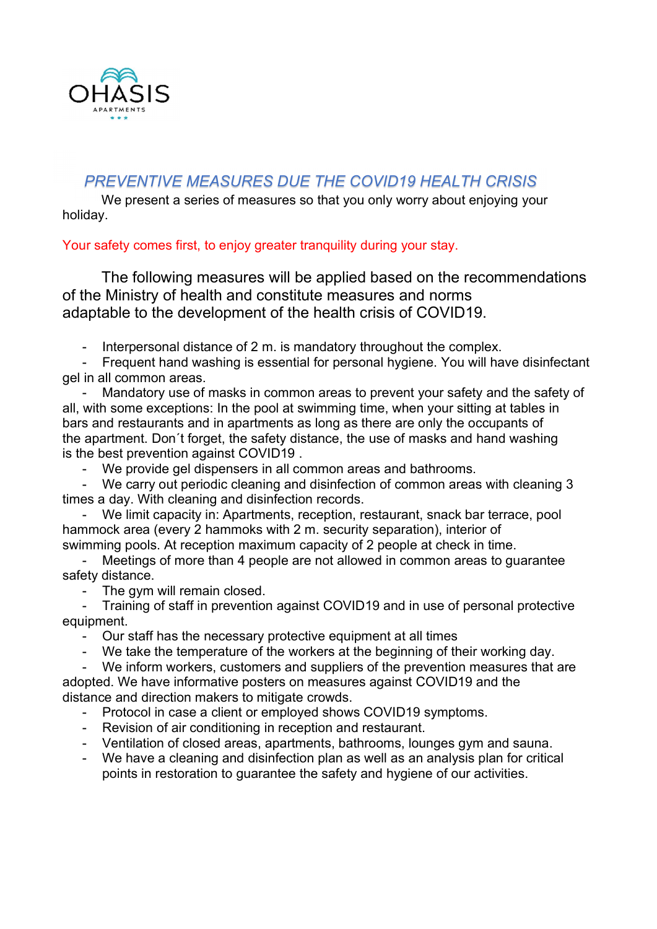

#### PREVENTIVE MEASURES DUE THE COVID19 HEALTH CRISIS

We present a series of measures so that you only worry about enjoying your holiday.

#### Your safety comes first, to enjoy greater tranquility during your stay.

The following measures will be applied based on the recommendations of the Ministry of health and constitute measures and norms adaptable to the development of the health crisis of COVID19.

- Interpersonal distance of 2 m. is mandatory throughout the complex.

- Frequent hand washing is essential for personal hygiene. You will have disinfectant gel in all common areas.

Mandatory use of masks in common areas to prevent your safety and the safety of all, with some exceptions: In the pool at swimming time, when your sitting at tables in bars and restaurants and in apartments as long as there are only the occupants of the apartment. Don´t forget, the safety distance, the use of masks and hand washing is the best prevention against COVID19 .

We provide gel dispensers in all common areas and bathrooms.

- We carry out periodic cleaning and disinfection of common areas with cleaning 3 times a day. With cleaning and disinfection records.

We limit capacity in: Apartments, reception, restaurant, snack bar terrace, pool hammock area (every 2 hammoks with 2 m. security separation), interior of swimming pools. At reception maximum capacity of 2 people at check in time.

Meetings of more than 4 people are not allowed in common areas to guarantee safety distance.

- The gym will remain closed.

- Training of staff in prevention against COVID19 and in use of personal protective equipment.

Our staff has the necessary protective equipment at all times

We take the temperature of the workers at the beginning of their working day.

- We inform workers, customers and suppliers of the prevention measures that are adopted. We have informative posters on measures against COVID19 and the distance and direction makers to mitigate crowds.

- Protocol in case a client or employed shows COVID19 symptoms.
- Revision of air conditioning in reception and restaurant.
- Ventilation of closed areas, apartments, bathrooms, lounges gym and sauna.
- We have a cleaning and disinfection plan as well as an analysis plan for critical points in restoration to guarantee the safety and hygiene of our activities.